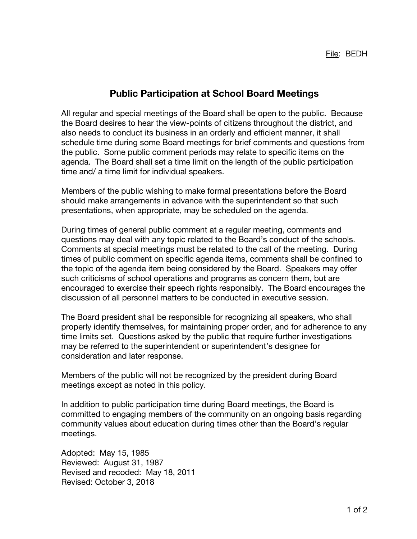## **Public Participation at School Board Meetings**

All regular and special meetings of the Board shall be open to the public. Because the Board desires to hear the view-points of citizens throughout the district, and also needs to conduct its business in an orderly and efficient manner, it shall schedule time during some Board meetings for brief comments and questions from the public. Some public comment periods may relate to specific items on the agenda. The Board shall set a time limit on the length of the public participation time and/ a time limit for individual speakers.

Members of the public wishing to make formal presentations before the Board should make arrangements in advance with the superintendent so that such presentations, when appropriate, may be scheduled on the agenda.

During times of general public comment at a regular meeting, comments and questions may deal with any topic related to the Board's conduct of the schools. Comments at special meetings must be related to the call of the meeting. During times of public comment on specific agenda items, comments shall be confined to the topic of the agenda item being considered by the Board. Speakers may offer such criticisms of school operations and programs as concern them, but are encouraged to exercise their speech rights responsibly. The Board encourages the discussion of all personnel matters to be conducted in executive session.

The Board president shall be responsible for recognizing all speakers, who shall properly identify themselves, for maintaining proper order, and for adherence to any time limits set. Questions asked by the public that require further investigations may be referred to the superintendent or superintendent's designee for consideration and later response.

Members of the public will not be recognized by the president during Board meetings except as noted in this policy.

In addition to public participation time during Board meetings, the Board is committed to engaging members of the community on an ongoing basis regarding community values about education during times other than the Board's regular meetings.

Adopted: May 15, 1985 Reviewed: August 31, 1987 Revised and recoded: May 18, 2011 Revised: October 3, 2018